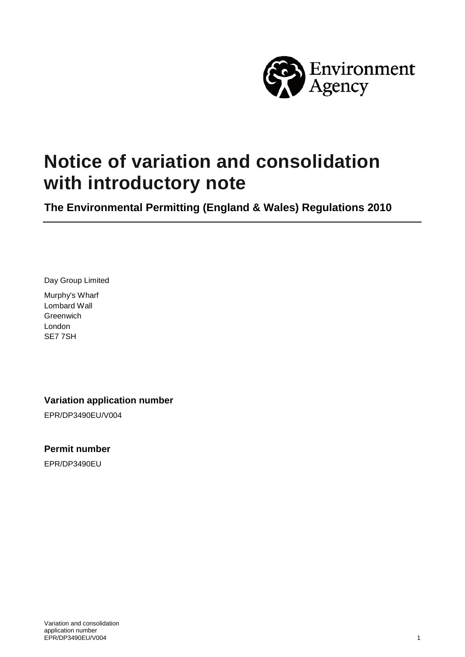

# **Notice of variation and consolidation with introductory note**

**The Environmental Permitting (England & Wales) Regulations 2010**

Day Group Limited

Murphy's Wharf Lombard Wall **Greenwich** London SE7 7SH

**Variation application number**

EPR/DP3490EU/V004

#### **Permit number**

EPR/DP3490EU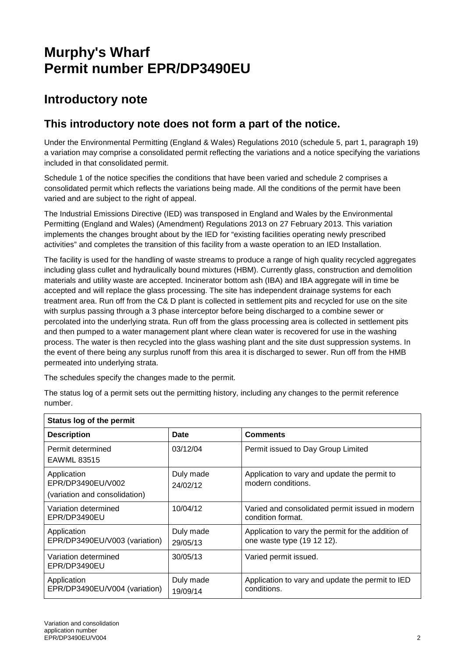# **Murphy's Wharf Permit number EPR/DP3490EU**

### **Introductory note**

#### **This introductory note does not form a part of the notice.**

Under the Environmental Permitting (England & Wales) Regulations 2010 (schedule 5, part 1, paragraph 19) a variation may comprise a consolidated permit reflecting the variations and a notice specifying the variations included in that consolidated permit.

Schedule 1 of the notice specifies the conditions that have been varied and schedule 2 comprises a consolidated permit which reflects the variations being made. All the conditions of the permit have been varied and are subject to the right of appeal.

The Industrial Emissions Directive (IED) was transposed in England and Wales by the Environmental Permitting (England and Wales) (Amendment) Regulations 2013 on 27 February 2013. This variation implements the changes brought about by the IED for "existing facilities operating newly prescribed activities" and completes the transition of this facility from a waste operation to an IED Installation.

The facility is used for the handling of waste streams to produce a range of high quality recycled aggregates including glass cullet and hydraulically bound mixtures (HBM). Currently glass, construction and demolition materials and utility waste are accepted. Incinerator bottom ash (IBA) and IBA aggregate will in time be accepted and will replace the glass processing. The site has independent drainage systems for each treatment area. Run off from the C& D plant is collected in settlement pits and recycled for use on the site with surplus passing through a 3 phase interceptor before being discharged to a combine sewer or percolated into the underlying strata. Run off from the glass processing area is collected in settlement pits and then pumped to a water management plant where clean water is recovered for use in the washing process. The water is then recycled into the glass washing plant and the site dust suppression systems. In the event of there being any surplus runoff from this area it is discharged to sewer. Run off from the HMB permeated into underlying strata.

The schedules specify the changes made to the permit.

| Status log of the permit                                          |                       |                                                                                  |  |
|-------------------------------------------------------------------|-----------------------|----------------------------------------------------------------------------------|--|
| <b>Description</b>                                                | Date                  | <b>Comments</b>                                                                  |  |
| Permit determined<br><b>EAWML 83515</b>                           | 03/12/04              | Permit issued to Day Group Limited                                               |  |
| Application<br>EPR/DP3490EU/V002<br>(variation and consolidation) | Duly made<br>24/02/12 | Application to vary and update the permit to<br>modern conditions.               |  |
| Variation determined<br>EPR/DP3490EU                              | 10/04/12              | Varied and consolidated permit issued in modern<br>condition format.             |  |
| Application<br>EPR/DP3490EU/V003 (variation)                      | Duly made<br>29/05/13 | Application to vary the permit for the addition of<br>one waste type (19 12 12). |  |
| Variation determined<br>EPR/DP3490EU                              | 30/05/13              | Varied permit issued.                                                            |  |
| Application<br>EPR/DP3490EU/V004 (variation)                      | Duly made<br>19/09/14 | Application to vary and update the permit to IED<br>conditions.                  |  |

The status log of a permit sets out the permitting history, including any changes to the permit reference number.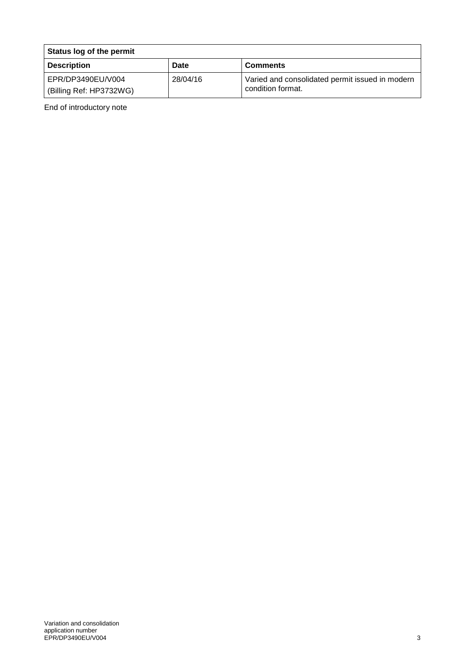| Status log of the permit                     |             |                                                                      |
|----------------------------------------------|-------------|----------------------------------------------------------------------|
| <b>Description</b>                           | <b>Date</b> | <b>Comments</b>                                                      |
| EPR/DP3490EU/V004<br>(Billing Ref: HP3732WG) | 28/04/16    | Varied and consolidated permit issued in modern<br>condition format. |

End of introductory note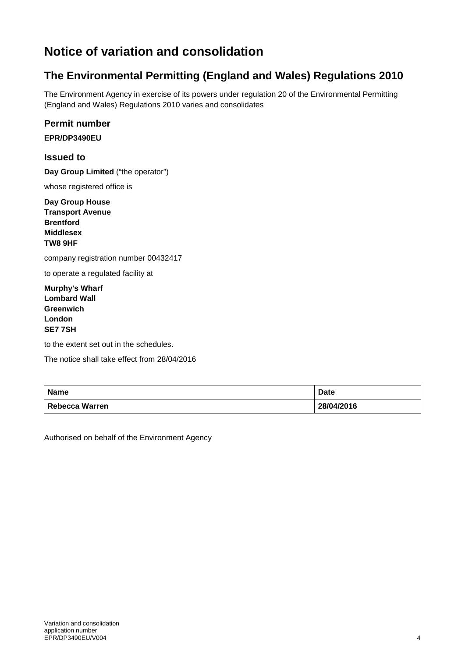## **Notice of variation and consolidation**

### **The Environmental Permitting (England and Wales) Regulations 2010**

The Environment Agency in exercise of its powers under regulation 20 of the Environmental Permitting (England and Wales) Regulations 2010 varies and consolidates

#### **Permit number**

**EPR/DP3490EU**

#### **Issued to**

**Day Group Limited** ("the operator")

whose registered office is

**Day Group House Transport Avenue Brentford Middlesex TW8 9HF**

company registration number 00432417

to operate a regulated facility at

**Murphy's Wharf Lombard Wall Greenwich London SE7 7SH**

to the extent set out in the schedules.

The notice shall take effect from 28/04/2016

| <b>Name</b>    | Date       |
|----------------|------------|
| Rebecca Warren | 28/04/2016 |

Authorised on behalf of the Environment Agency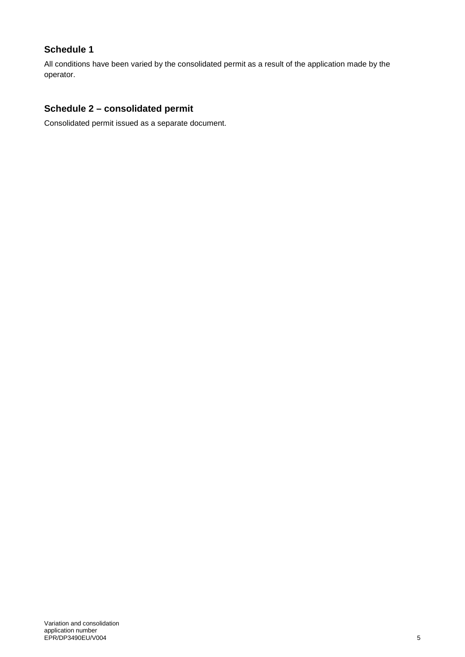#### **Schedule 1**

All conditions have been varied by the consolidated permit as a result of the application made by the operator.

#### **Schedule 2 – consolidated permit**

Consolidated permit issued as a separate document.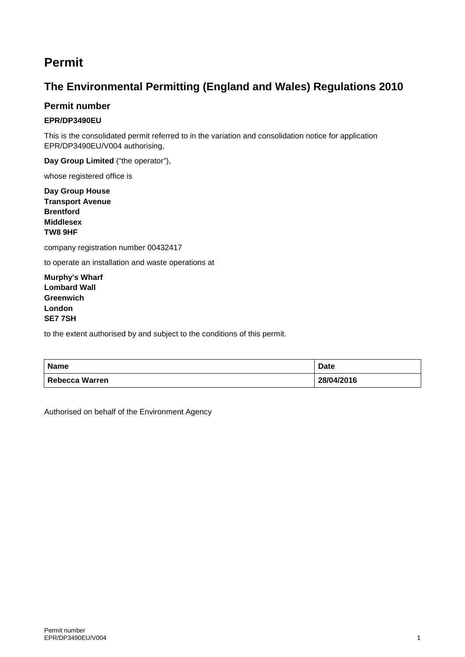### **Permit**

### **The Environmental Permitting (England and Wales) Regulations 2010**

#### **Permit number**

#### **EPR/DP3490EU**

This is the consolidated permit referred to in the variation and consolidation notice for application EPR/DP3490EU/V004 authorising,

**Day Group Limited** ("the operator"),

whose registered office is

**Day Group House Transport Avenue Brentford Middlesex TW8 9HF**

company registration number 00432417

to operate an installation and waste operations at

**Murphy's Wharf Lombard Wall Greenwich London SE7 7SH**

to the extent authorised by and subject to the conditions of this permit.

| <b>Name</b>    | <b>Date</b> |
|----------------|-------------|
| Rebecca Warren | 28/04/2016  |

Authorised on behalf of the Environment Agency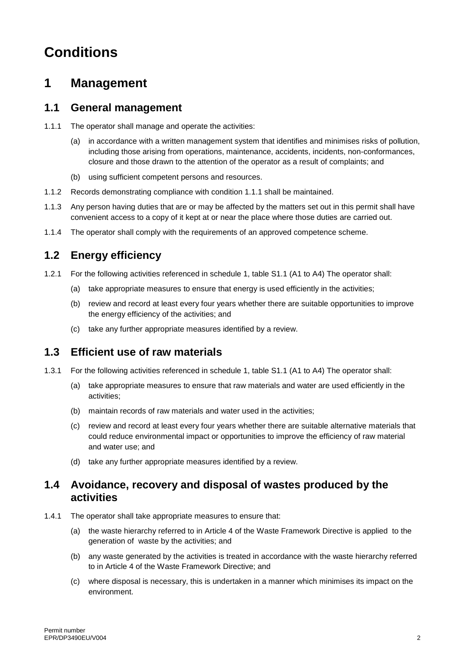# **Conditions**

### **1 Management**

#### **1.1 General management**

- 1.1.1 The operator shall manage and operate the activities:
	- (a) in accordance with a written management system that identifies and minimises risks of pollution, including those arising from operations, maintenance, accidents, incidents, non-conformances, closure and those drawn to the attention of the operator as a result of complaints; and
	- (b) using sufficient competent persons and resources.
- 1.1.2 Records demonstrating compliance with condition 1.1.1 shall be maintained.
- 1.1.3 Any person having duties that are or may be affected by the matters set out in this permit shall have convenient access to a copy of it kept at or near the place where those duties are carried out.
- 1.1.4 The operator shall comply with the requirements of an approved competence scheme.

### **1.2 Energy efficiency**

- 1.2.1 For the following activities referenced in schedule 1, table S1.1 (A1 to A4) The operator shall:
	- (a) take appropriate measures to ensure that energy is used efficiently in the activities;
	- (b) review and record at least every four years whether there are suitable opportunities to improve the energy efficiency of the activities; and
	- (c) take any further appropriate measures identified by a review.

#### **1.3 Efficient use of raw materials**

- 1.3.1 For the following activities referenced in schedule 1, table S1.1 (A1 to A4) The operator shall:
	- (a) take appropriate measures to ensure that raw materials and water are used efficiently in the activities;
	- (b) maintain records of raw materials and water used in the activities;
	- (c) review and record at least every four years whether there are suitable alternative materials that could reduce environmental impact or opportunities to improve the efficiency of raw material and water use; and
	- (d) take any further appropriate measures identified by a review.

#### **1.4 Avoidance, recovery and disposal of wastes produced by the activities**

- 1.4.1 The operator shall take appropriate measures to ensure that:
	- (a) the waste hierarchy referred to in Article 4 of the Waste Framework Directive is applied to the generation of waste by the activities; and
	- (b) any waste generated by the activities is treated in accordance with the waste hierarchy referred to in Article 4 of the Waste Framework Directive; and
	- (c) where disposal is necessary, this is undertaken in a manner which minimises its impact on the environment.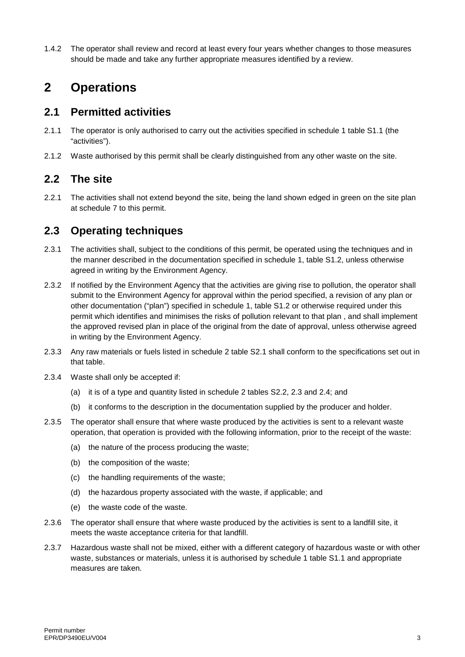1.4.2 The operator shall review and record at least every four years whether changes to those measures should be made and take any further appropriate measures identified by a review.

### **2 Operations**

#### **2.1 Permitted activities**

- 2.1.1 The operator is only authorised to carry out the activities specified in schedule 1 table S1.1 (the "activities").
- 2.1.2 Waste authorised by this permit shall be clearly distinguished from any other waste on the site.

#### **2.2 The site**

2.2.1 The activities shall not extend beyond the site, being the land shown edged in green on the site plan at schedule 7 to this permit.

#### **2.3 Operating techniques**

- 2.3.1 The activities shall, subject to the conditions of this permit, be operated using the techniques and in the manner described in the documentation specified in schedule 1, table S1.2, unless otherwise agreed in writing by the Environment Agency.
- 2.3.2 If notified by the Environment Agency that the activities are giving rise to pollution, the operator shall submit to the Environment Agency for approval within the period specified, a revision of any plan or other documentation ("plan") specified in schedule 1, table S1.2 or otherwise required under this permit which identifies and minimises the risks of pollution relevant to that plan , and shall implement the approved revised plan in place of the original from the date of approval, unless otherwise agreed in writing by the Environment Agency.
- 2.3.3 Any raw materials or fuels listed in schedule 2 table S2.1 shall conform to the specifications set out in that table.
- 2.3.4 Waste shall only be accepted if:
	- (a) it is of a type and quantity listed in schedule 2 tables S2.2, 2.3 and 2.4; and
	- (b) it conforms to the description in the documentation supplied by the producer and holder.
- 2.3.5 The operator shall ensure that where waste produced by the activities is sent to a relevant waste operation, that operation is provided with the following information, prior to the receipt of the waste:
	- (a) the nature of the process producing the waste;
	- (b) the composition of the waste;
	- (c) the handling requirements of the waste;
	- (d) the hazardous property associated with the waste, if applicable; and
	- (e) the waste code of the waste.
- 2.3.6 The operator shall ensure that where waste produced by the activities is sent to a landfill site, it meets the waste acceptance criteria for that landfill.
- 2.3.7 Hazardous waste shall not be mixed, either with a different category of hazardous waste or with other waste, substances or materials, unless it is authorised by schedule 1 table S1.1 and appropriate measures are taken.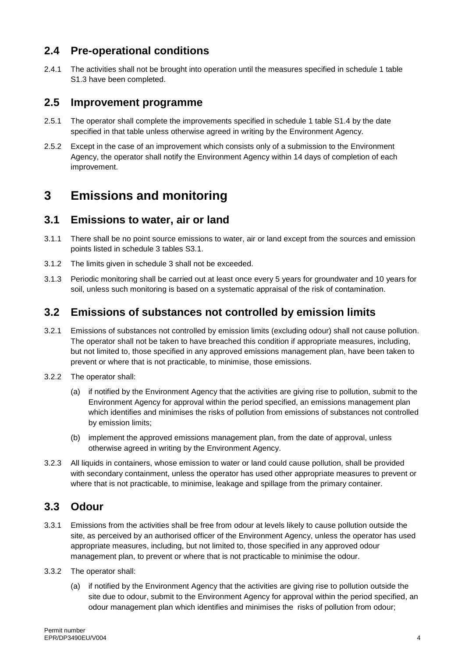#### **2.4 Pre-operational conditions**

2.4.1 The activities shall not be brought into operation until the measures specified in schedule 1 table S1.3 have been completed.

#### **2.5 Improvement programme**

- 2.5.1 The operator shall complete the improvements specified in schedule 1 table S1.4 by the date specified in that table unless otherwise agreed in writing by the Environment Agency.
- 2.5.2 Except in the case of an improvement which consists only of a submission to the Environment Agency, the operator shall notify the Environment Agency within 14 days of completion of each improvement.

## **3 Emissions and monitoring**

#### **3.1 Emissions to water, air or land**

- 3.1.1 There shall be no point source emissions to water, air or land except from the sources and emission points listed in schedule 3 tables S3.1.
- 3.1.2 The limits given in schedule 3 shall not be exceeded.
- 3.1.3 Periodic monitoring shall be carried out at least once every 5 years for groundwater and 10 years for soil, unless such monitoring is based on a systematic appraisal of the risk of contamination.

#### **3.2 Emissions of substances not controlled by emission limits**

- 3.2.1 Emissions of substances not controlled by emission limits (excluding odour) shall not cause pollution. The operator shall not be taken to have breached this condition if appropriate measures, including, but not limited to, those specified in any approved emissions management plan, have been taken to prevent or where that is not practicable, to minimise, those emissions.
- 3.2.2 The operator shall:
	- (a) if notified by the Environment Agency that the activities are giving rise to pollution, submit to the Environment Agency for approval within the period specified, an emissions management plan which identifies and minimises the risks of pollution from emissions of substances not controlled by emission limits;
	- (b) implement the approved emissions management plan, from the date of approval, unless otherwise agreed in writing by the Environment Agency.
- 3.2.3 All liquids in containers, whose emission to water or land could cause pollution, shall be provided with secondary containment, unless the operator has used other appropriate measures to prevent or where that is not practicable, to minimise, leakage and spillage from the primary container.

#### **3.3 Odour**

- 3.3.1 Emissions from the activities shall be free from odour at levels likely to cause pollution outside the site, as perceived by an authorised officer of the Environment Agency, unless the operator has used appropriate measures, including, but not limited to, those specified in any approved odour management plan, to prevent or where that is not practicable to minimise the odour.
- 3.3.2 The operator shall:
	- (a) if notified by the Environment Agency that the activities are giving rise to pollution outside the site due to odour, submit to the Environment Agency for approval within the period specified, an odour management plan which identifies and minimises the risks of pollution from odour;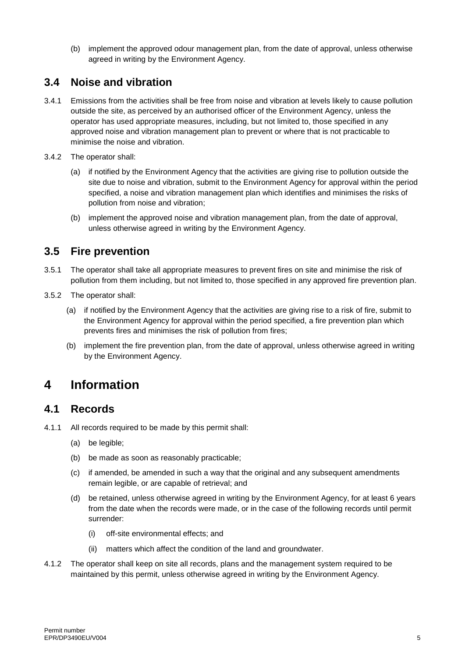(b) implement the approved odour management plan, from the date of approval, unless otherwise agreed in writing by the Environment Agency.

### **3.4 Noise and vibration**

- 3.4.1 Emissions from the activities shall be free from noise and vibration at levels likely to cause pollution outside the site, as perceived by an authorised officer of the Environment Agency, unless the operator has used appropriate measures, including, but not limited to, those specified in any approved noise and vibration management plan to prevent or where that is not practicable to minimise the noise and vibration.
- 3.4.2 The operator shall:
	- (a) if notified by the Environment Agency that the activities are giving rise to pollution outside the site due to noise and vibration, submit to the Environment Agency for approval within the period specified, a noise and vibration management plan which identifies and minimises the risks of pollution from noise and vibration;
	- (b) implement the approved noise and vibration management plan, from the date of approval, unless otherwise agreed in writing by the Environment Agency.

#### **3.5 Fire prevention**

- 3.5.1 The operator shall take all appropriate measures to prevent fires on site and minimise the risk of pollution from them including, but not limited to, those specified in any approved fire prevention plan.
- 3.5.2 The operator shall:
	- (a) if notified by the Environment Agency that the activities are giving rise to a risk of fire, submit to the Environment Agency for approval within the period specified, a fire prevention plan which prevents fires and minimises the risk of pollution from fires;
	- (b) implement the fire prevention plan, from the date of approval, unless otherwise agreed in writing by the Environment Agency.

### **4 Information**

#### **4.1 Records**

4.1.1 All records required to be made by this permit shall:

- (a) be legible;
- (b) be made as soon as reasonably practicable;
- (c) if amended, be amended in such a way that the original and any subsequent amendments remain legible, or are capable of retrieval; and
- (d) be retained, unless otherwise agreed in writing by the Environment Agency, for at least 6 years from the date when the records were made, or in the case of the following records until permit surrender:
	- (i) off-site environmental effects; and
	- (ii) matters which affect the condition of the land and groundwater.
- 4.1.2 The operator shall keep on site all records, plans and the management system required to be maintained by this permit, unless otherwise agreed in writing by the Environment Agency.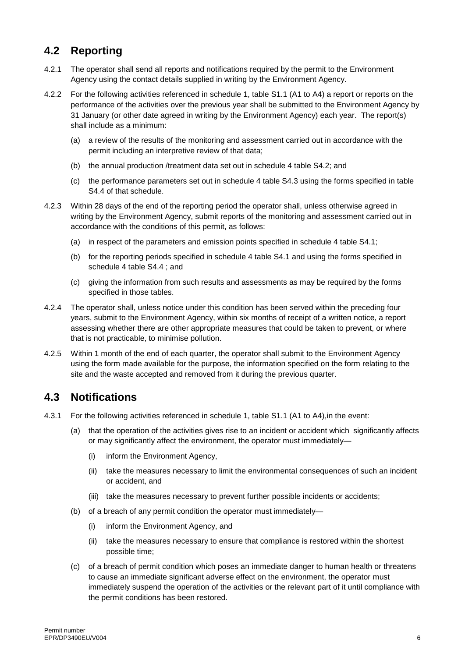### **4.2 Reporting**

- 4.2.1 The operator shall send all reports and notifications required by the permit to the Environment Agency using the contact details supplied in writing by the Environment Agency.
- 4.2.2 For the following activities referenced in schedule 1, table S1.1 (A1 to A4) a report or reports on the performance of the activities over the previous year shall be submitted to the Environment Agency by 31 January (or other date agreed in writing by the Environment Agency) each year. The report(s) shall include as a minimum:
	- (a) a review of the results of the monitoring and assessment carried out in accordance with the permit including an interpretive review of that data;
	- (b) the annual production /treatment data set out in schedule 4 table S4.2; and
	- (c) the performance parameters set out in schedule 4 table S4.3 using the forms specified in table S4.4 of that schedule.
- 4.2.3 Within 28 days of the end of the reporting period the operator shall, unless otherwise agreed in writing by the Environment Agency, submit reports of the monitoring and assessment carried out in accordance with the conditions of this permit, as follows:
	- (a) in respect of the parameters and emission points specified in schedule 4 table S4.1;
	- (b) for the reporting periods specified in schedule 4 table S4.1 and using the forms specified in schedule 4 table S4.4 ; and
	- (c) giving the information from such results and assessments as may be required by the forms specified in those tables.
- 4.2.4 The operator shall, unless notice under this condition has been served within the preceding four years, submit to the Environment Agency, within six months of receipt of a written notice, a report assessing whether there are other appropriate measures that could be taken to prevent, or where that is not practicable, to minimise pollution.
- 4.2.5 Within 1 month of the end of each quarter, the operator shall submit to the Environment Agency using the form made available for the purpose, the information specified on the form relating to the site and the waste accepted and removed from it during the previous quarter.

#### **4.3 Notifications**

- 4.3.1 For the following activities referenced in schedule 1, table S1.1 (A1 to A4),in the event:
	- (a) that the operation of the activities gives rise to an incident or accident which significantly affects or may significantly affect the environment, the operator must immediately—
		- (i) inform the Environment Agency,
		- (ii) take the measures necessary to limit the environmental consequences of such an incident or accident, and
		- (iii) take the measures necessary to prevent further possible incidents or accidents;
	- (b) of a breach of any permit condition the operator must immediately—
		- (i) inform the Environment Agency, and
		- (ii) take the measures necessary to ensure that compliance is restored within the shortest possible time;
	- (c) of a breach of permit condition which poses an immediate danger to human health or threatens to cause an immediate significant adverse effect on the environment, the operator must immediately suspend the operation of the activities or the relevant part of it until compliance with the permit conditions has been restored.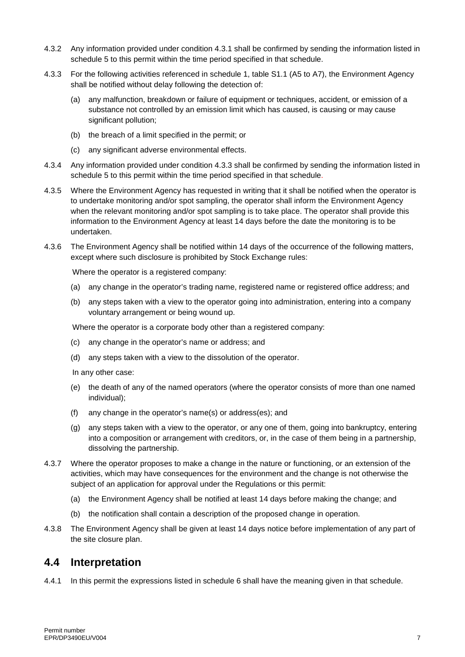- 4.3.2 Any information provided under condition 4.3.1 shall be confirmed by sending the information listed in schedule 5 to this permit within the time period specified in that schedule.
- 4.3.3 For the following activities referenced in schedule 1, table S1.1 (A5 to A7), the Environment Agency shall be notified without delay following the detection of:
	- (a) any malfunction, breakdown or failure of equipment or techniques, accident, or emission of a substance not controlled by an emission limit which has caused, is causing or may cause significant pollution;
	- (b) the breach of a limit specified in the permit; or
	- (c) any significant adverse environmental effects.
- 4.3.4 Any information provided under condition 4.3.3 shall be confirmed by sending the information listed in schedule 5 to this permit within the time period specified in that schedule.
- 4.3.5 Where the Environment Agency has requested in writing that it shall be notified when the operator is to undertake monitoring and/or spot sampling, the operator shall inform the Environment Agency when the relevant monitoring and/or spot sampling is to take place. The operator shall provide this information to the Environment Agency at least 14 days before the date the monitoring is to be undertaken.
- 4.3.6 The Environment Agency shall be notified within 14 days of the occurrence of the following matters, except where such disclosure is prohibited by Stock Exchange rules:

Where the operator is a registered company:

- (a) any change in the operator's trading name, registered name or registered office address; and
- (b) any steps taken with a view to the operator going into administration, entering into a company voluntary arrangement or being wound up.

Where the operator is a corporate body other than a registered company:

- (c) any change in the operator's name or address; and
- (d) any steps taken with a view to the dissolution of the operator.

In any other case:

- (e) the death of any of the named operators (where the operator consists of more than one named individual);
- (f) any change in the operator's name(s) or address(es); and
- (g) any steps taken with a view to the operator, or any one of them, going into bankruptcy, entering into a composition or arrangement with creditors, or, in the case of them being in a partnership, dissolving the partnership.
- 4.3.7 Where the operator proposes to make a change in the nature or functioning, or an extension of the activities, which may have consequences for the environment and the change is not otherwise the subject of an application for approval under the Regulations or this permit:
	- (a) the Environment Agency shall be notified at least 14 days before making the change; and
	- (b) the notification shall contain a description of the proposed change in operation.
- 4.3.8 The Environment Agency shall be given at least 14 days notice before implementation of any part of the site closure plan.

#### **4.4 Interpretation**

4.4.1 In this permit the expressions listed in schedule 6 shall have the meaning given in that schedule.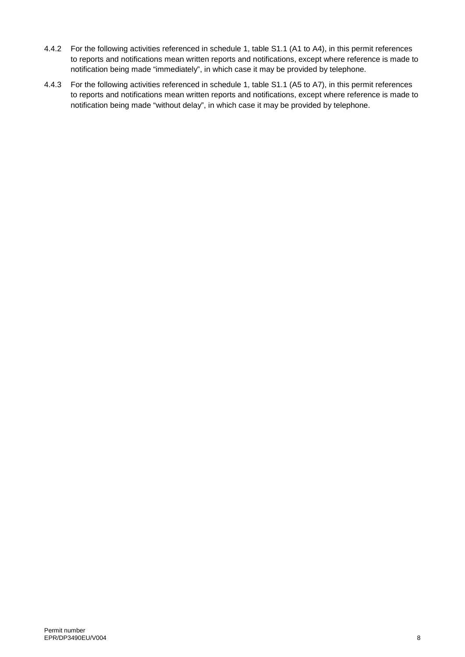- 4.4.2 For the following activities referenced in schedule 1, table S1.1 (A1 to A4), in this permit references to reports and notifications mean written reports and notifications, except where reference is made to notification being made "immediately", in which case it may be provided by telephone.
- 4.4.3 For the following activities referenced in schedule 1, table S1.1 (A5 to A7), in this permit references to reports and notifications mean written reports and notifications, except where reference is made to notification being made "without delay", in which case it may be provided by telephone.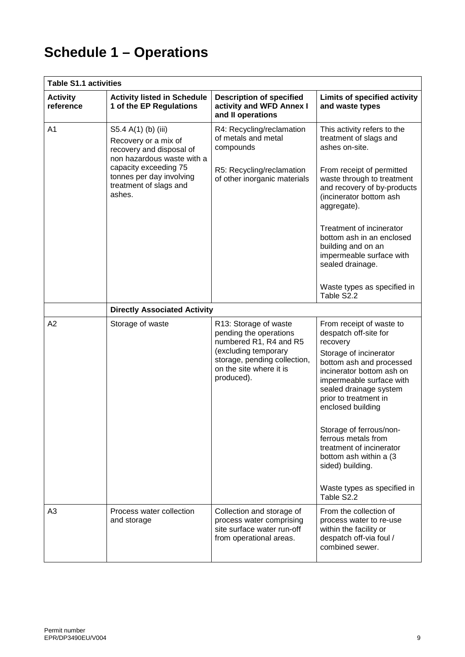# **Schedule 1 – Operations**

| <b>Table S1.1 activities</b> |                                                                                                                                                                                      |                                                                                                                                                                            |                                                                                                                                                                                                                                                                                                                                                                                   |
|------------------------------|--------------------------------------------------------------------------------------------------------------------------------------------------------------------------------------|----------------------------------------------------------------------------------------------------------------------------------------------------------------------------|-----------------------------------------------------------------------------------------------------------------------------------------------------------------------------------------------------------------------------------------------------------------------------------------------------------------------------------------------------------------------------------|
| <b>Activity</b><br>reference | <b>Activity listed in Schedule</b><br>1 of the EP Regulations                                                                                                                        | <b>Description of specified</b><br>activity and WFD Annex I<br>and II operations                                                                                           | Limits of specified activity<br>and waste types                                                                                                                                                                                                                                                                                                                                   |
| A <sub>1</sub>               | S5.4 A(1) (b) (iii)<br>Recovery or a mix of<br>recovery and disposal of<br>non hazardous waste with a<br>capacity exceeding 75<br>tonnes per day involving<br>treatment of slags and | R4: Recycling/reclamation<br>of metals and metal<br>compounds<br>R5: Recycling/reclamation<br>of other inorganic materials                                                 | This activity refers to the<br>treatment of slags and<br>ashes on-site.<br>From receipt of permitted<br>waste through to treatment<br>and recovery of by-products                                                                                                                                                                                                                 |
|                              | ashes.                                                                                                                                                                               |                                                                                                                                                                            | (incinerator bottom ash<br>aggregate).                                                                                                                                                                                                                                                                                                                                            |
|                              |                                                                                                                                                                                      |                                                                                                                                                                            | Treatment of incinerator<br>bottom ash in an enclosed<br>building and on an<br>impermeable surface with<br>sealed drainage.                                                                                                                                                                                                                                                       |
|                              |                                                                                                                                                                                      |                                                                                                                                                                            | Waste types as specified in<br>Table S2.2                                                                                                                                                                                                                                                                                                                                         |
|                              | <b>Directly Associated Activity</b>                                                                                                                                                  |                                                                                                                                                                            |                                                                                                                                                                                                                                                                                                                                                                                   |
| A2                           | Storage of waste                                                                                                                                                                     | R13: Storage of waste<br>pending the operations<br>numbered R1, R4 and R5<br>(excluding temporary<br>storage, pending collection,<br>on the site where it is<br>produced). | From receipt of waste to<br>despatch off-site for<br>recovery<br>Storage of incinerator<br>bottom ash and processed<br>incinerator bottom ash on<br>impermeable surface with<br>sealed drainage system<br>prior to treatment in<br>enclosed building<br>Storage of ferrous/non-<br>ferrous metals from<br>treatment of incinerator<br>bottom ash within a (3)<br>sided) building. |
|                              |                                                                                                                                                                                      |                                                                                                                                                                            | Waste types as specified in<br>Table S2.2                                                                                                                                                                                                                                                                                                                                         |
| A3                           | Process water collection<br>and storage                                                                                                                                              | Collection and storage of<br>process water comprising<br>site surface water run-off<br>from operational areas.                                                             | From the collection of<br>process water to re-use<br>within the facility or<br>despatch off-via foul /<br>combined sewer.                                                                                                                                                                                                                                                         |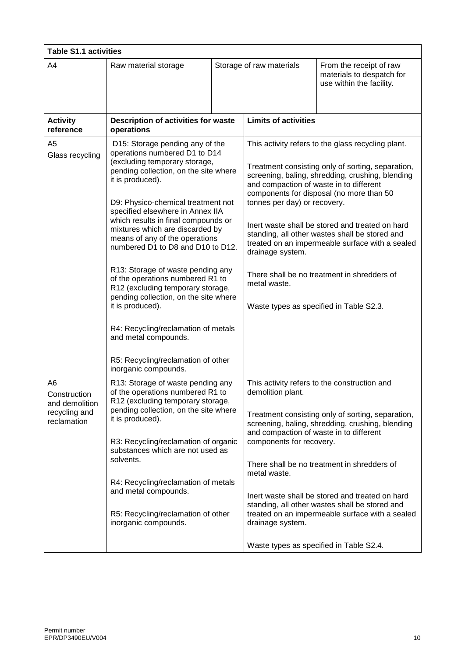| <b>Table S1.1 activities</b>                                         |                                                                                                                                                                                                                                                                                                                                                                                                                                                                                                                                                                                                                                                                           |  |                                                                                                                                                                         |                                                                                                                                                                                                                                                                                                                                                                                                                |
|----------------------------------------------------------------------|---------------------------------------------------------------------------------------------------------------------------------------------------------------------------------------------------------------------------------------------------------------------------------------------------------------------------------------------------------------------------------------------------------------------------------------------------------------------------------------------------------------------------------------------------------------------------------------------------------------------------------------------------------------------------|--|-------------------------------------------------------------------------------------------------------------------------------------------------------------------------|----------------------------------------------------------------------------------------------------------------------------------------------------------------------------------------------------------------------------------------------------------------------------------------------------------------------------------------------------------------------------------------------------------------|
| A4                                                                   | Raw material storage                                                                                                                                                                                                                                                                                                                                                                                                                                                                                                                                                                                                                                                      |  | Storage of raw materials                                                                                                                                                | From the receipt of raw<br>materials to despatch for<br>use within the facility.                                                                                                                                                                                                                                                                                                                               |
| <b>Activity</b><br>reference                                         | Description of activities for waste<br>operations                                                                                                                                                                                                                                                                                                                                                                                                                                                                                                                                                                                                                         |  | <b>Limits of activities</b>                                                                                                                                             |                                                                                                                                                                                                                                                                                                                                                                                                                |
| A5<br>Glass recycling                                                | D15: Storage pending any of the<br>operations numbered D1 to D14<br>(excluding temporary storage,<br>pending collection, on the site where<br>it is produced).<br>D9: Physico-chemical treatment not<br>specified elsewhere in Annex IIA<br>which results in final compounds or<br>mixtures which are discarded by<br>means of any of the operations<br>numbered D1 to D8 and D10 to D12.<br>R13: Storage of waste pending any<br>of the operations numbered R1 to<br>R12 (excluding temporary storage,<br>pending collection, on the site where<br>it is produced).<br>R4: Recycling/reclamation of metals<br>and metal compounds.<br>R5: Recycling/reclamation of other |  | and compaction of waste in to different<br>tonnes per day) or recovery.<br>drainage system.<br>metal waste.<br>Waste types as specified in Table S2.3.                  | This activity refers to the glass recycling plant.<br>Treatment consisting only of sorting, separation,<br>screening, baling, shredding, crushing, blending<br>components for disposal (no more than 50<br>Inert waste shall be stored and treated on hard<br>standing, all other wastes shall be stored and<br>treated on an impermeable surface with a sealed<br>There shall be no treatment in shredders of |
| A6<br>Construction<br>and demolition<br>recycling and<br>reclamation | inorganic compounds.<br>R13: Storage of waste pending any<br>of the operations numbered R1 to<br>R12 (excluding temporary storage,<br>pending collection, on the site where<br>it is produced).<br>R3: Recycling/reclamation of organic<br>substances which are not used as<br>solvents.<br>R4: Recycling/reclamation of metals<br>and metal compounds.<br>R5: Recycling/reclamation of other<br>inorganic compounds.                                                                                                                                                                                                                                                     |  | demolition plant.<br>and compaction of waste in to different<br>components for recovery.<br>metal waste.<br>drainage system.<br>Waste types as specified in Table S2.4. | This activity refers to the construction and<br>Treatment consisting only of sorting, separation,<br>screening, baling, shredding, crushing, blending<br>There shall be no treatment in shredders of<br>Inert waste shall be stored and treated on hard<br>standing, all other wastes shall be stored and<br>treated on an impermeable surface with a sealed                                                   |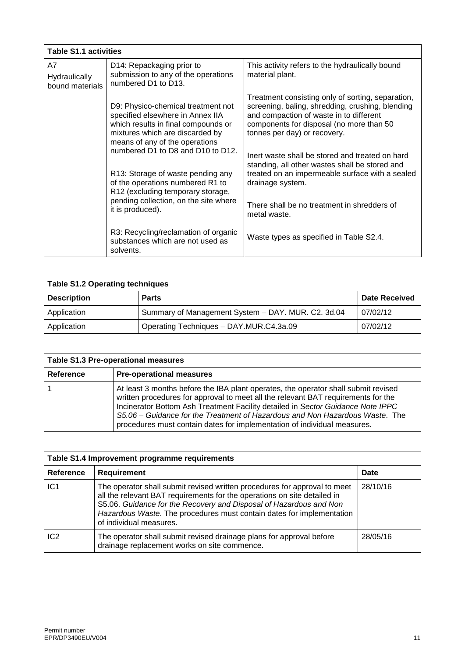|                                        | <b>Table S1.1 activities</b>                                                                                                                                                                                            |                                                                                                                                                                                                                                                                                 |  |
|----------------------------------------|-------------------------------------------------------------------------------------------------------------------------------------------------------------------------------------------------------------------------|---------------------------------------------------------------------------------------------------------------------------------------------------------------------------------------------------------------------------------------------------------------------------------|--|
| A7<br>Hydraulically<br>bound materials | D14: Repackaging prior to<br>submission to any of the operations<br>numbered D1 to D13.                                                                                                                                 | This activity refers to the hydraulically bound<br>material plant.                                                                                                                                                                                                              |  |
|                                        | D9: Physico-chemical treatment not<br>specified elsewhere in Annex IIA<br>which results in final compounds or<br>mixtures which are discarded by<br>means of any of the operations<br>numbered D1 to D8 and D10 to D12. | Treatment consisting only of sorting, separation,<br>screening, baling, shredding, crushing, blending<br>and compaction of waste in to different<br>components for disposal (no more than 50<br>tonnes per day) or recovery.<br>Inert waste shall be stored and treated on hard |  |
|                                        | R13: Storage of waste pending any<br>of the operations numbered R1 to<br>R12 (excluding temporary storage,                                                                                                              | standing, all other wastes shall be stored and<br>treated on an impermeable surface with a sealed<br>drainage system.                                                                                                                                                           |  |
|                                        | pending collection, on the site where<br>it is produced).                                                                                                                                                               | There shall be no treatment in shredders of<br>metal waste.                                                                                                                                                                                                                     |  |
|                                        | R3: Recycling/reclamation of organic<br>substances which are not used as<br>solvents.                                                                                                                                   | Waste types as specified in Table S2.4.                                                                                                                                                                                                                                         |  |

| <b>Table S1.2 Operating techniques</b> |                                                    |                      |
|----------------------------------------|----------------------------------------------------|----------------------|
| <b>Description</b>                     | <b>Parts</b>                                       | <b>Date Received</b> |
| Application                            | Summary of Management System - DAY. MUR. C2. 3d.04 | 07/02/12             |
| Application                            | Operating Techniques - DAY.MUR.C4.3a.09            | 07/02/12             |

| <b>Table S1.3 Pre-operational measures</b> |                                                                                                                                                                                                                                                                                                                                                                                                                        |  |
|--------------------------------------------|------------------------------------------------------------------------------------------------------------------------------------------------------------------------------------------------------------------------------------------------------------------------------------------------------------------------------------------------------------------------------------------------------------------------|--|
| Reference                                  | <b>Pre-operational measures</b>                                                                                                                                                                                                                                                                                                                                                                                        |  |
|                                            | At least 3 months before the IBA plant operates, the operator shall submit revised<br>written procedures for approval to meet all the relevant BAT requirements for the<br>Incinerator Bottom Ash Treatment Facility detailed in Sector Guidance Note IPPC<br>S5.06 - Guidance for the Treatment of Hazardous and Non Hazardous Waste. The<br>procedures must contain dates for implementation of individual measures. |  |

| Table S1.4 Improvement programme requirements |                                                                                                                                                                                                                                                                                                                                 |          |
|-----------------------------------------------|---------------------------------------------------------------------------------------------------------------------------------------------------------------------------------------------------------------------------------------------------------------------------------------------------------------------------------|----------|
| Reference                                     | Requirement                                                                                                                                                                                                                                                                                                                     | Date     |
| IC1                                           | The operator shall submit revised written procedures for approval to meet<br>all the relevant BAT requirements for the operations on site detailed in<br>S5.06. Guidance for the Recovery and Disposal of Hazardous and Non<br>Hazardous Waste. The procedures must contain dates for implementation<br>of individual measures. | 28/10/16 |
| IC <sub>2</sub>                               | The operator shall submit revised drainage plans for approval before<br>drainage replacement works on site commence.                                                                                                                                                                                                            | 28/05/16 |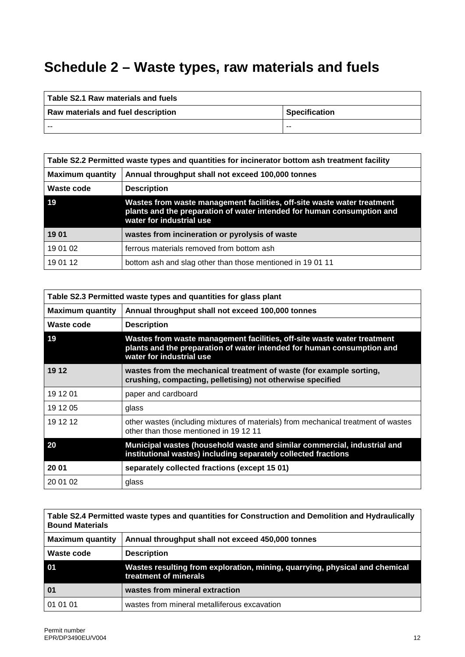# **Schedule 2 – Waste types, raw materials and fuels**

| Table S2.1 Raw materials and fuels |                      |
|------------------------------------|----------------------|
| Raw materials and fuel description | <b>Specification</b> |
| --                                 | ---                  |

| Table S2.2 Permitted waste types and quantities for incinerator bottom ash treatment facility |                                                                                                                                                                               |  |
|-----------------------------------------------------------------------------------------------|-------------------------------------------------------------------------------------------------------------------------------------------------------------------------------|--|
| <b>Maximum quantity</b>                                                                       | Annual throughput shall not exceed 100,000 tonnes                                                                                                                             |  |
| Waste code                                                                                    | <b>Description</b>                                                                                                                                                            |  |
| 19                                                                                            | Wastes from waste management facilities, off-site waste water treatment<br>plants and the preparation of water intended for human consumption and<br>water for industrial use |  |
| 1901                                                                                          | wastes from incineration or pyrolysis of waste                                                                                                                                |  |
| 19 01 02                                                                                      | ferrous materials removed from bottom ash                                                                                                                                     |  |
| 19 01 12                                                                                      | bottom ash and slag other than those mentioned in 1901 11                                                                                                                     |  |

| Table S2.3 Permitted waste types and quantities for glass plant |                                                                                                                                                                               |  |
|-----------------------------------------------------------------|-------------------------------------------------------------------------------------------------------------------------------------------------------------------------------|--|
| <b>Maximum quantity</b>                                         | Annual throughput shall not exceed 100,000 tonnes                                                                                                                             |  |
| Waste code                                                      | <b>Description</b>                                                                                                                                                            |  |
| 19                                                              | Wastes from waste management facilities, off-site waste water treatment<br>plants and the preparation of water intended for human consumption and<br>water for industrial use |  |
| 19 12                                                           | wastes from the mechanical treatment of waste (for example sorting,<br>crushing, compacting, pelletising) not otherwise specified                                             |  |
| 19 12 01                                                        | paper and cardboard                                                                                                                                                           |  |
| 19 12 05                                                        | glass                                                                                                                                                                         |  |
| 19 12 12                                                        | other wastes (including mixtures of materials) from mechanical treatment of wastes<br>other than those mentioned in 1912 11                                                   |  |
| 20                                                              | Municipal wastes (household waste and similar commercial, industrial and<br>institutional wastes) including separately collected fractions                                    |  |
| 20 01                                                           | separately collected fractions (except 15 01)                                                                                                                                 |  |
| 20 01 02                                                        | glass                                                                                                                                                                         |  |

| Table S2.4 Permitted waste types and quantities for Construction and Demolition and Hydraulically<br><b>Bound Materials</b> |                                                                                                      |  |
|-----------------------------------------------------------------------------------------------------------------------------|------------------------------------------------------------------------------------------------------|--|
| <b>Maximum quantity</b>                                                                                                     | Annual throughput shall not exceed 450,000 tonnes                                                    |  |
| Waste code                                                                                                                  | <b>Description</b>                                                                                   |  |
| 01                                                                                                                          | Wastes resulting from exploration, mining, quarrying, physical and chemical<br>treatment of minerals |  |
| 01                                                                                                                          | wastes from mineral extraction                                                                       |  |
| 01 01 01                                                                                                                    | wastes from mineral metalliferous excavation                                                         |  |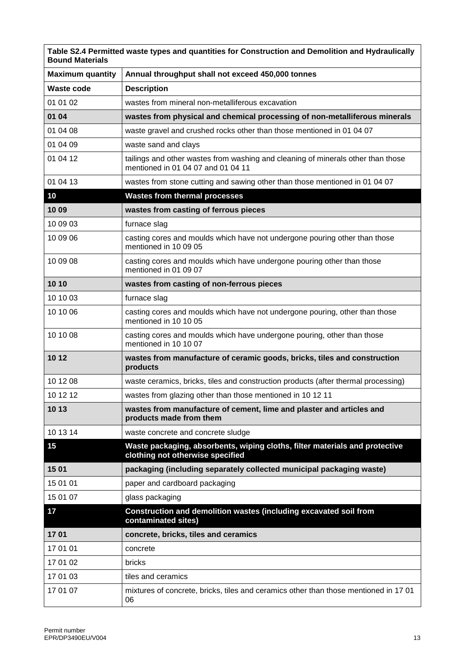| Table S2.4 Permitted waste types and quantities for Construction and Demolition and Hydraulically<br><b>Bound Materials</b> |                                                                                                                        |  |  |
|-----------------------------------------------------------------------------------------------------------------------------|------------------------------------------------------------------------------------------------------------------------|--|--|
| <b>Maximum quantity</b>                                                                                                     | Annual throughput shall not exceed 450,000 tonnes                                                                      |  |  |
| <b>Waste code</b>                                                                                                           | <b>Description</b>                                                                                                     |  |  |
| 01 01 02                                                                                                                    | wastes from mineral non-metalliferous excavation                                                                       |  |  |
| 01 04                                                                                                                       | wastes from physical and chemical processing of non-metalliferous minerals                                             |  |  |
| 01 04 08                                                                                                                    | waste gravel and crushed rocks other than those mentioned in 01 04 07                                                  |  |  |
| 01 04 09                                                                                                                    | waste sand and clays                                                                                                   |  |  |
| 01 04 12                                                                                                                    | tailings and other wastes from washing and cleaning of minerals other than those<br>mentioned in 01 04 07 and 01 04 11 |  |  |
| 01 04 13                                                                                                                    | wastes from stone cutting and sawing other than those mentioned in 01 04 07                                            |  |  |
| 10                                                                                                                          | <b>Wastes from thermal processes</b>                                                                                   |  |  |
| 1009                                                                                                                        | wastes from casting of ferrous pieces                                                                                  |  |  |
| 10 09 03                                                                                                                    | furnace slag                                                                                                           |  |  |
| 10 09 06                                                                                                                    | casting cores and moulds which have not undergone pouring other than those<br>mentioned in 10 09 05                    |  |  |
| 10 09 08                                                                                                                    | casting cores and moulds which have undergone pouring other than those<br>mentioned in 01 09 07                        |  |  |
| 10 10                                                                                                                       | wastes from casting of non-ferrous pieces                                                                              |  |  |
| 10 10 03                                                                                                                    | furnace slag                                                                                                           |  |  |
| 10 10 06                                                                                                                    | casting cores and moulds which have not undergone pouring, other than those<br>mentioned in 10 10 05                   |  |  |
| 10 10 08                                                                                                                    | casting cores and moulds which have undergone pouring, other than those<br>mentioned in 10 10 07                       |  |  |
| 10 12                                                                                                                       | wastes from manufacture of ceramic goods, bricks, tiles and construction<br>products                                   |  |  |
| 10 12 08                                                                                                                    | waste ceramics, bricks, tiles and construction products (after thermal processing)                                     |  |  |
| 10 12 12                                                                                                                    | wastes from glazing other than those mentioned in 10 12 11                                                             |  |  |
| 10 13                                                                                                                       | wastes from manufacture of cement, lime and plaster and articles and<br>products made from them                        |  |  |
| 10 13 14                                                                                                                    | waste concrete and concrete sludge                                                                                     |  |  |
| 15                                                                                                                          | Waste packaging, absorbents, wiping cloths, filter materials and protective<br>clothing not otherwise specified        |  |  |
| 1501                                                                                                                        | packaging (including separately collected municipal packaging waste)                                                   |  |  |
| 15 01 01                                                                                                                    | paper and cardboard packaging                                                                                          |  |  |
| 15 01 07                                                                                                                    | glass packaging                                                                                                        |  |  |
| 17                                                                                                                          | Construction and demolition wastes (including excavated soil from<br>contaminated sites)                               |  |  |
| 1701                                                                                                                        | concrete, bricks, tiles and ceramics                                                                                   |  |  |
| 17 01 01                                                                                                                    | concrete                                                                                                               |  |  |
| 17 01 02                                                                                                                    | bricks                                                                                                                 |  |  |
| 17 01 03                                                                                                                    | tiles and ceramics                                                                                                     |  |  |
| 17 01 07                                                                                                                    | mixtures of concrete, bricks, tiles and ceramics other than those mentioned in 1701<br>06                              |  |  |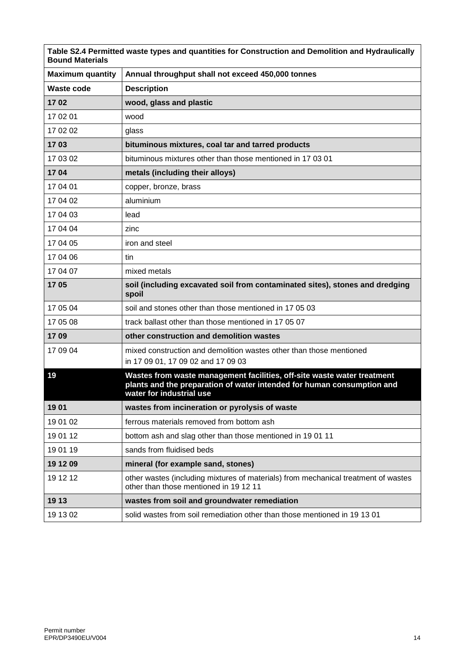| Table S2.4 Permitted waste types and quantities for Construction and Demolition and Hydraulically<br><b>Bound Materials</b> |                                                                                                                                                                               |  |
|-----------------------------------------------------------------------------------------------------------------------------|-------------------------------------------------------------------------------------------------------------------------------------------------------------------------------|--|
| <b>Maximum quantity</b>                                                                                                     | Annual throughput shall not exceed 450,000 tonnes                                                                                                                             |  |
| <b>Waste code</b>                                                                                                           | <b>Description</b>                                                                                                                                                            |  |
| 1702                                                                                                                        | wood, glass and plastic                                                                                                                                                       |  |
| 17 02 01                                                                                                                    | wood                                                                                                                                                                          |  |
| 17 02 02                                                                                                                    | glass                                                                                                                                                                         |  |
| 1703                                                                                                                        | bituminous mixtures, coal tar and tarred products                                                                                                                             |  |
| 17 03 02                                                                                                                    | bituminous mixtures other than those mentioned in 17 03 01                                                                                                                    |  |
| 1704                                                                                                                        | metals (including their alloys)                                                                                                                                               |  |
| 17 04 01                                                                                                                    | copper, bronze, brass                                                                                                                                                         |  |
| 17 04 02                                                                                                                    | aluminium                                                                                                                                                                     |  |
| 17 04 03                                                                                                                    | lead                                                                                                                                                                          |  |
| 17 04 04                                                                                                                    | zinc                                                                                                                                                                          |  |
| 17 04 05                                                                                                                    | iron and steel                                                                                                                                                                |  |
| 17 04 06                                                                                                                    | tin                                                                                                                                                                           |  |
| 17 04 07                                                                                                                    | mixed metals                                                                                                                                                                  |  |
| 1705                                                                                                                        | soil (including excavated soil from contaminated sites), stones and dredging<br>spoil                                                                                         |  |
| 17 05 04                                                                                                                    | soil and stones other than those mentioned in 17 05 03                                                                                                                        |  |
| 17 05 08                                                                                                                    | track ballast other than those mentioned in 17 05 07                                                                                                                          |  |
| 1709                                                                                                                        | other construction and demolition wastes                                                                                                                                      |  |
| 17 09 04                                                                                                                    | mixed construction and demolition wastes other than those mentioned                                                                                                           |  |
|                                                                                                                             | in 17 09 01, 17 09 02 and 17 09 03                                                                                                                                            |  |
| 19                                                                                                                          | Wastes from waste management facilities, off-site waste water treatment<br>plants and the preparation of water intended for human consumption and<br>water for industrial use |  |
| 1901                                                                                                                        | wastes from incineration or pyrolysis of waste                                                                                                                                |  |
| 19 01 02                                                                                                                    | ferrous materials removed from bottom ash                                                                                                                                     |  |
| 19 01 12                                                                                                                    | bottom ash and slag other than those mentioned in 1901 11                                                                                                                     |  |
| 19 01 19                                                                                                                    | sands from fluidised beds                                                                                                                                                     |  |
| 19 12 09                                                                                                                    | mineral (for example sand, stones)                                                                                                                                            |  |
| 19 12 12                                                                                                                    | other wastes (including mixtures of materials) from mechanical treatment of wastes<br>other than those mentioned in 1912 11                                                   |  |
| 19 13                                                                                                                       | wastes from soil and groundwater remediation                                                                                                                                  |  |
| 19 13 02                                                                                                                    | solid wastes from soil remediation other than those mentioned in 19 13 01                                                                                                     |  |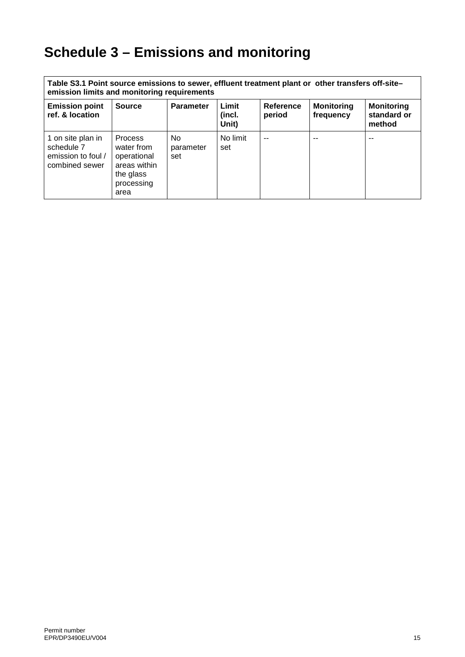# **Schedule 3 – Emissions and monitoring**

| Table S3.1 Point source emissions to sewer, effluent treatment plant or other transfers off-site-<br>emission limits and monitoring requirements |                                                                                                |                         |                          |                     |                                |                                            |
|--------------------------------------------------------------------------------------------------------------------------------------------------|------------------------------------------------------------------------------------------------|-------------------------|--------------------------|---------------------|--------------------------------|--------------------------------------------|
| <b>Emission point</b><br>ref. & location                                                                                                         | <b>Source</b>                                                                                  | <b>Parameter</b>        | Limit<br>(incl.<br>Unit) | Reference<br>period | <b>Monitoring</b><br>frequency | <b>Monitoring</b><br>standard or<br>method |
| 1 on site plan in<br>schedule 7<br>emission to foul /<br>combined sewer                                                                          | <b>Process</b><br>water from<br>operational<br>areas within<br>the glass<br>processing<br>area | No.<br>parameter<br>set | No limit<br>set          | --                  | --                             | --                                         |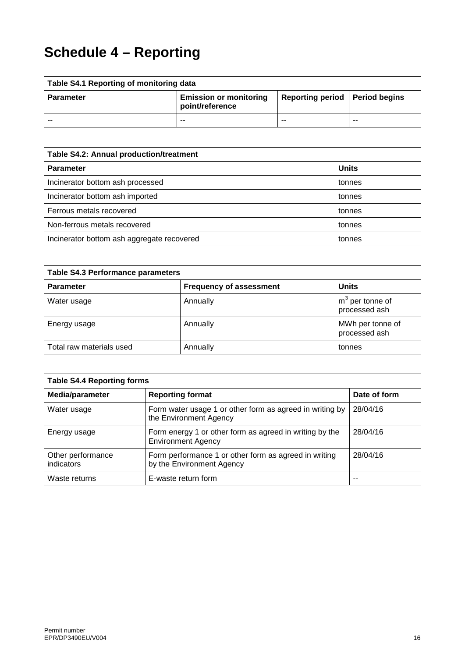# **Schedule 4 – Reporting**

| Table S4.1 Reporting of monitoring data |                                                  |                                  |     |
|-----------------------------------------|--------------------------------------------------|----------------------------------|-----|
| <b>Parameter</b>                        | <b>Emission or monitoring</b><br>point/reference | Reporting period   Period begins |     |
| --                                      | $- -$                                            | $- -$                            | $-$ |

| Table S4.2: Annual production/treatment    |              |  |
|--------------------------------------------|--------------|--|
| <b>Parameter</b>                           | <b>Units</b> |  |
| Incinerator bottom ash processed           | tonnes       |  |
| Incinerator bottom ash imported            | tonnes       |  |
| Ferrous metals recovered                   | tonnes       |  |
| Non-ferrous metals recovered               | tonnes       |  |
| Incinerator bottom ash aggregate recovered | tonnes       |  |

| <b>Table S4.3 Performance parameters</b> |                                |                                    |  |
|------------------------------------------|--------------------------------|------------------------------------|--|
| <b>Parameter</b>                         | <b>Frequency of assessment</b> | <b>Units</b>                       |  |
| Water usage                              | Annually                       | $m3$ per tonne of<br>processed ash |  |
| Energy usage                             | Annually                       | MWh per tonne of<br>processed ash  |  |
| Total raw materials used                 | Annually                       | tonnes                             |  |

| <b>Table S4.4 Reporting forms</b> |                                                                                      |              |  |
|-----------------------------------|--------------------------------------------------------------------------------------|--------------|--|
| Media/parameter                   | <b>Reporting format</b>                                                              | Date of form |  |
| Water usage                       | Form water usage 1 or other form as agreed in writing by<br>the Environment Agency   | 28/04/16     |  |
| Energy usage                      | Form energy 1 or other form as agreed in writing by the<br><b>Environment Agency</b> | 28/04/16     |  |
| Other performance<br>indicators   | Form performance 1 or other form as agreed in writing<br>by the Environment Agency   | 28/04/16     |  |
| Waste returns                     | E-waste return form                                                                  |              |  |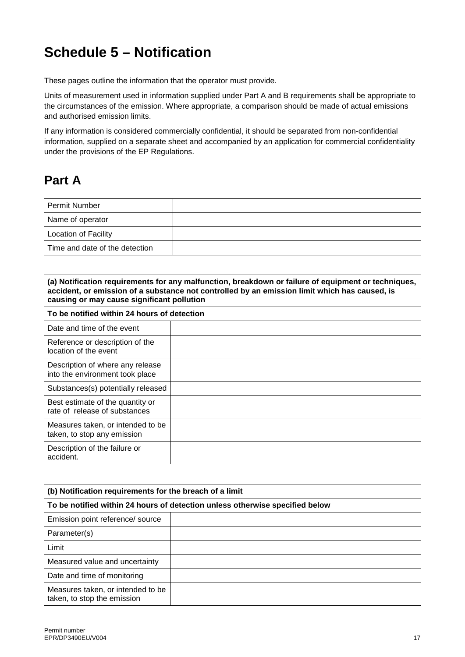# **Schedule 5 – Notification**

These pages outline the information that the operator must provide.

Units of measurement used in information supplied under Part A and B requirements shall be appropriate to the circumstances of the emission. Where appropriate, a comparison should be made of actual emissions and authorised emission limits.

If any information is considered commercially confidential, it should be separated from non-confidential information, supplied on a separate sheet and accompanied by an application for commercial confidentiality under the provisions of the EP Regulations.

## **Part A**

| Permit Number                  |  |
|--------------------------------|--|
| Name of operator               |  |
| <b>Location of Facility</b>    |  |
| Time and date of the detection |  |

| (a) Notification requirements for any malfunction, breakdown or failure of equipment or techniques,<br>accident, or emission of a substance not controlled by an emission limit which has caused, is<br>causing or may cause significant pollution |  |  |
|----------------------------------------------------------------------------------------------------------------------------------------------------------------------------------------------------------------------------------------------------|--|--|
| To be notified within 24 hours of detection                                                                                                                                                                                                        |  |  |
| Date and time of the event                                                                                                                                                                                                                         |  |  |
| Reference or description of the<br>location of the event                                                                                                                                                                                           |  |  |
| Description of where any release<br>into the environment took place                                                                                                                                                                                |  |  |
| Substances(s) potentially released                                                                                                                                                                                                                 |  |  |
| Best estimate of the quantity or<br>rate of release of substances                                                                                                                                                                                  |  |  |
| Measures taken, or intended to be<br>taken, to stop any emission                                                                                                                                                                                   |  |  |
| Description of the failure or<br>accident.                                                                                                                                                                                                         |  |  |

| (b) Notification requirements for the breach of a limit                      |  |  |
|------------------------------------------------------------------------------|--|--|
| To be notified within 24 hours of detection unless otherwise specified below |  |  |
| Emission point reference/ source                                             |  |  |
| Parameter(s)                                                                 |  |  |
| Limit                                                                        |  |  |
| Measured value and uncertainty                                               |  |  |
| Date and time of monitoring                                                  |  |  |
| Measures taken, or intended to be<br>taken, to stop the emission             |  |  |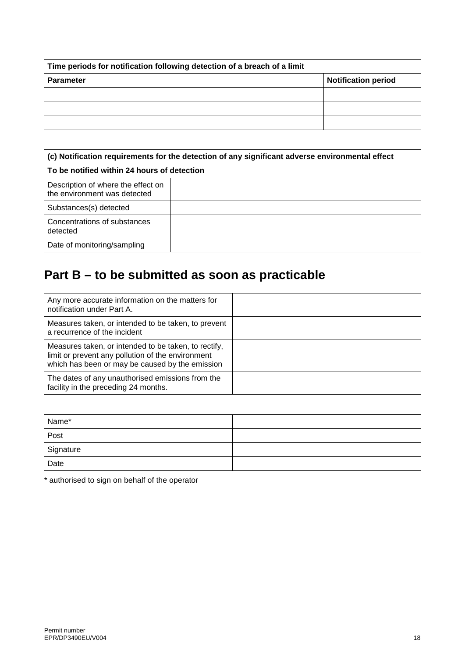| Time periods for notification following detection of a breach of a limit |                            |  |
|--------------------------------------------------------------------------|----------------------------|--|
| <b>Parameter</b>                                                         | <b>Notification period</b> |  |
|                                                                          |                            |  |
|                                                                          |                            |  |
|                                                                          |                            |  |

| (c) Notification requirements for the detection of any significant adverse environmental effect |  |  |
|-------------------------------------------------------------------------------------------------|--|--|
| To be notified within 24 hours of detection                                                     |  |  |
| Description of where the effect on<br>the environment was detected                              |  |  |
| Substances(s) detected                                                                          |  |  |
| Concentrations of substances<br>detected                                                        |  |  |
| Date of monitoring/sampling                                                                     |  |  |

# **Part B – to be submitted as soon as practicable**

| Any more accurate information on the matters for<br>notification under Part A.                                                                               |  |
|--------------------------------------------------------------------------------------------------------------------------------------------------------------|--|
| Measures taken, or intended to be taken, to prevent<br>a recurrence of the incident                                                                          |  |
| Measures taken, or intended to be taken, to rectify,<br>limit or prevent any pollution of the environment<br>which has been or may be caused by the emission |  |
| The dates of any unauthorised emissions from the<br>facility in the preceding 24 months.                                                                     |  |

| Name*     |  |
|-----------|--|
| Post      |  |
| Signature |  |
| Date      |  |

\* authorised to sign on behalf of the operator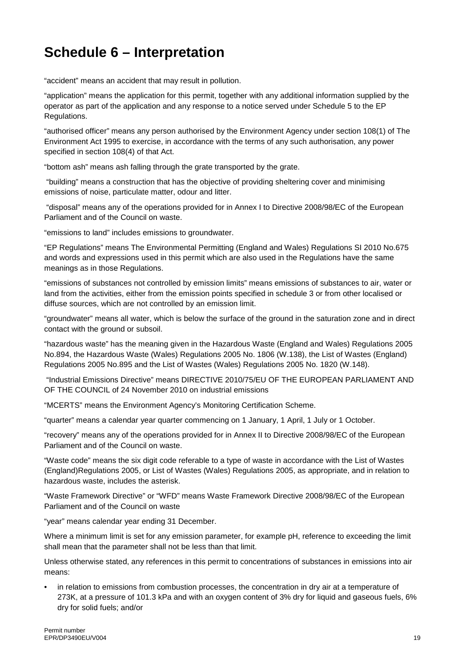# **Schedule 6 – Interpretation**

"accident" means an accident that may result in pollution.

"application" means the application for this permit, together with any additional information supplied by the operator as part of the application and any response to a notice served under Schedule 5 to the EP Regulations.

"authorised officer" means any person authorised by the Environment Agency under section 108(1) of The Environment Act 1995 to exercise, in accordance with the terms of any such authorisation, any power specified in section 108(4) of that Act.

"bottom ash" means ash falling through the grate transported by the grate.

"building" means a construction that has the objective of providing sheltering cover and minimising emissions of noise, particulate matter, odour and litter.

"disposal" means any of the operations provided for in Annex I to Directive 2008/98/EC of the European Parliament and of the Council on waste.

"emissions to land" includes emissions to groundwater.

"EP Regulations" means The Environmental Permitting (England and Wales) Regulations SI 2010 No.675 and words and expressions used in this permit which are also used in the Regulations have the same meanings as in those Regulations.

"emissions of substances not controlled by emission limits" means emissions of substances to air, water or land from the activities, either from the emission points specified in schedule 3 or from other localised or diffuse sources, which are not controlled by an emission limit.

"groundwater" means all water, which is below the surface of the ground in the saturation zone and in direct contact with the ground or subsoil.

"hazardous waste" has the meaning given in the Hazardous Waste (England and Wales) Regulations 2005 No.894, the Hazardous Waste (Wales) Regulations 2005 No. 1806 (W.138), the List of Wastes (England) Regulations 2005 No.895 and the List of Wastes (Wales) Regulations 2005 No. 1820 (W.148).

"Industrial Emissions Directive" means DIRECTIVE 2010/75/EU OF THE EUROPEAN PARLIAMENT AND OF THE COUNCIL of 24 November 2010 on industrial emissions

"MCERTS" means the Environment Agency's Monitoring Certification Scheme.

"quarter" means a calendar year quarter commencing on 1 January, 1 April, 1 July or 1 October.

"recovery" means any of the operations provided for in Annex II to Directive 2008/98/EC of the European Parliament and of the Council on waste.

"Waste code" means the six digit code referable to a type of waste in accordance with the List of Wastes (England)Regulations 2005, or List of Wastes (Wales) Regulations 2005, as appropriate, and in relation to hazardous waste, includes the asterisk.

"Waste Framework Directive" or "WFD" means Waste Framework Directive 2008/98/EC of the European Parliament and of the Council on waste

"year" means calendar year ending 31 December.

Where a minimum limit is set for any emission parameter, for example pH, reference to exceeding the limit shall mean that the parameter shall not be less than that limit.

Unless otherwise stated, any references in this permit to concentrations of substances in emissions into air means:

• in relation to emissions from combustion processes, the concentration in dry air at a temperature of 273K, at a pressure of 101.3 kPa and with an oxygen content of 3% dry for liquid and gaseous fuels, 6% dry for solid fuels; and/or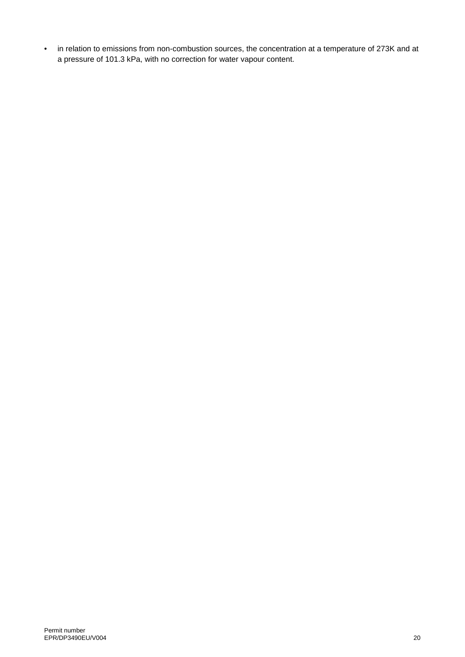• in relation to emissions from non-combustion sources, the concentration at a temperature of 273K and at a pressure of 101.3 kPa, with no correction for water vapour content.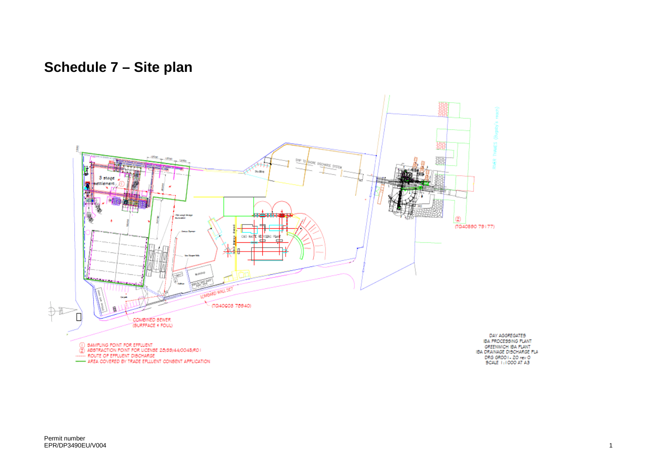# **Schedule 7 – Site plan**

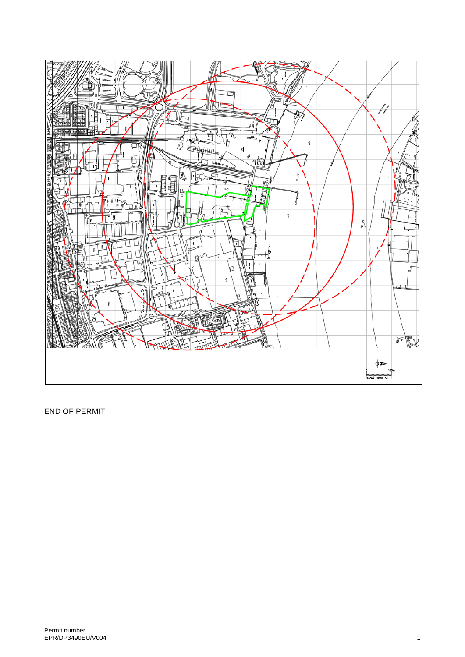

END OF PERMIT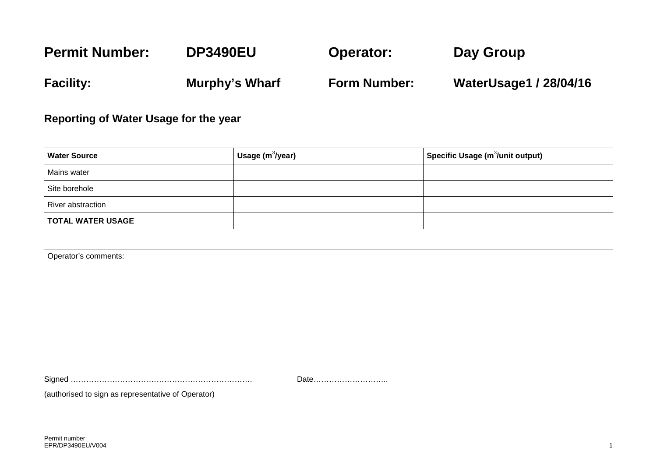#### **Permit Number: Facility: DP3490EU Murphy's Wharf Operator: Form Number: Day Group WaterUsage1 / 28/04/16**

**Reporting of Water Usage for the year** 

| <b>Water Source</b>      | Usage $(m^3$ /year) | $^ $ Specific Usage (m $^3$ /unit output) |
|--------------------------|---------------------|-------------------------------------------|
| Mains water              |                     |                                           |
| Site borehole            |                     |                                           |
| River abstraction        |                     |                                           |
| <b>TOTAL WATER USAGE</b> |                     |                                           |

Operator's comments:

Signed ……………………………………………………………. Date………………………..

(authorised to sign as representative of Operator)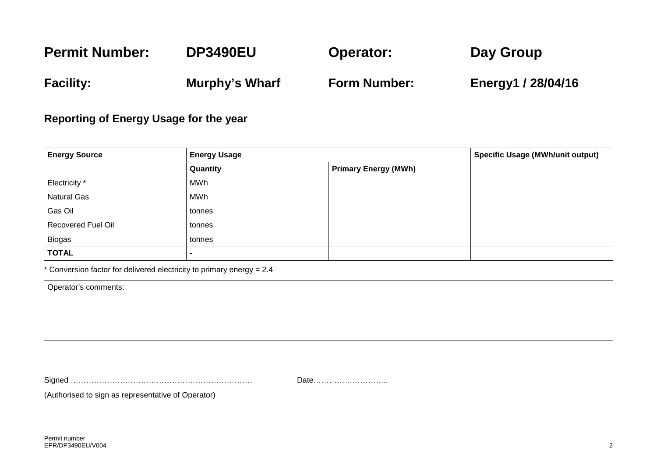#### **Permit Number: Facility: DP3490EU Murphy's Wharf Operator: Form Number: Day Group Energy1 / 28/04/16**

#### **Reporting of Energy Usage for the year**

| <b>Energy Source</b> | <b>Energy Usage</b> |                             | <b>Specific Usage (MWh/unit output)</b> |
|----------------------|---------------------|-----------------------------|-----------------------------------------|
|                      | Quantity            | <b>Primary Energy (MWh)</b> |                                         |
| Electricity *        | MWh                 |                             |                                         |
| <b>Natural Gas</b>   | MWh                 |                             |                                         |
| Gas Oil              | tonnes              |                             |                                         |
| Recovered Fuel Oil   | tonnes              |                             |                                         |
| <b>Biogas</b>        | tonnes              |                             |                                         |
| <b>TOTAL</b>         |                     |                             |                                         |

\* Conversion factor for delivered electricity to primary energy = 2.4

Operator's comments:

Signed ……………………………………………………………. Date………………………..

(Authorised to sign as representative of Operator)